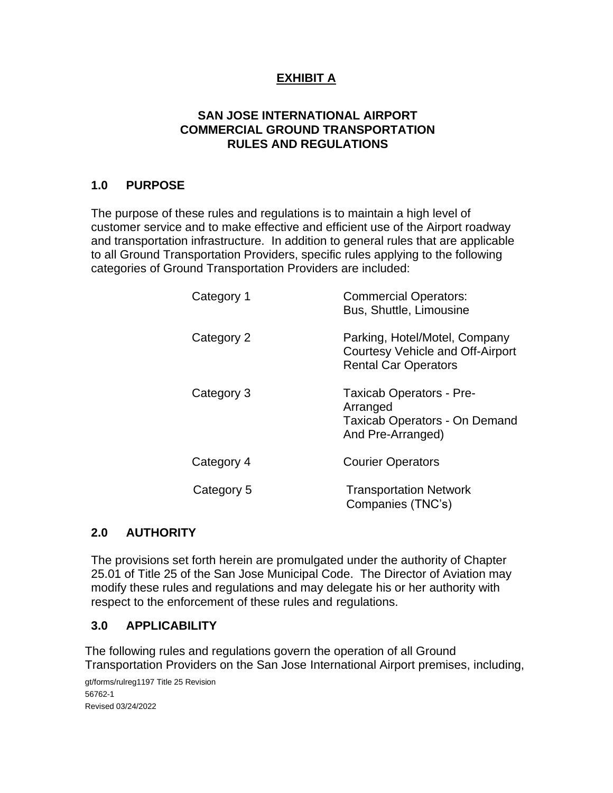#### **SAN JOSE INTERNATIONAL AIRPORT COMMERCIAL GROUND TRANSPORTATION RULES AND REGULATIONS**

### **1.0 PURPOSE**

The purpose of these rules and regulations is to maintain a high level of customer service and to make effective and efficient use of the Airport roadway and transportation infrastructure. In addition to general rules that are applicable to all Ground Transportation Providers, specific rules applying to the following categories of Ground Transportation Providers are included:

| Category 1 | <b>Commercial Operators:</b><br>Bus, Shuttle, Limousine                                                  |
|------------|----------------------------------------------------------------------------------------------------------|
| Category 2 | Parking, Hotel/Motel, Company<br>Courtesy Vehicle and Off-Airport<br><b>Rental Car Operators</b>         |
| Category 3 | <b>Taxicab Operators - Pre-</b><br>Arranged<br><b>Taxicab Operators - On Demand</b><br>And Pre-Arranged) |
| Category 4 | <b>Courier Operators</b>                                                                                 |
| Category 5 | <b>Transportation Network</b><br>Companies (TNC's)                                                       |

## **2.0 AUTHORITY**

The provisions set forth herein are promulgated under the authority of Chapter 25.01 of Title 25 of the San Jose Municipal Code. The Director of Aviation may modify these rules and regulations and may delegate his or her authority with respect to the enforcement of these rules and regulations.

#### **3.0 APPLICABILITY**

The following rules and regulations govern the operation of all Ground Transportation Providers on the San Jose International Airport premises, including,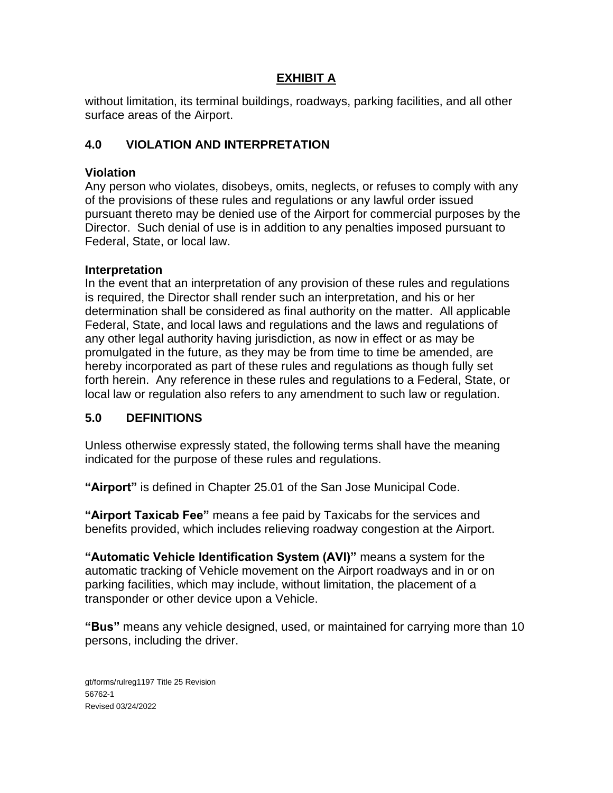without limitation, its terminal buildings, roadways, parking facilities, and all other surface areas of the Airport.

# **4.0 VIOLATION AND INTERPRETATION**

### **Violation**

Any person who violates, disobeys, omits, neglects, or refuses to comply with any of the provisions of these rules and regulations or any lawful order issued pursuant thereto may be denied use of the Airport for commercial purposes by the Director. Such denial of use is in addition to any penalties imposed pursuant to Federal, State, or local law.

#### **Interpretation**

In the event that an interpretation of any provision of these rules and regulations is required, the Director shall render such an interpretation, and his or her determination shall be considered as final authority on the matter. All applicable Federal, State, and local laws and regulations and the laws and regulations of any other legal authority having jurisdiction, as now in effect or as may be promulgated in the future, as they may be from time to time be amended, are hereby incorporated as part of these rules and regulations as though fully set forth herein. Any reference in these rules and regulations to a Federal, State, or local law or regulation also refers to any amendment to such law or regulation.

## **5.0 DEFINITIONS**

Unless otherwise expressly stated, the following terms shall have the meaning indicated for the purpose of these rules and regulations.

**"Airport"** is defined in Chapter 25.01 of the San Jose Municipal Code.

**"Airport Taxicab Fee"** means a fee paid by Taxicabs for the services and benefits provided, which includes relieving roadway congestion at the Airport.

**"Automatic Vehicle Identification System (AVI)"** means a system for the automatic tracking of Vehicle movement on the Airport roadways and in or on parking facilities, which may include, without limitation, the placement of a transponder or other device upon a Vehicle.

**"Bus"** means any vehicle designed, used, or maintained for carrying more than 10 persons, including the driver.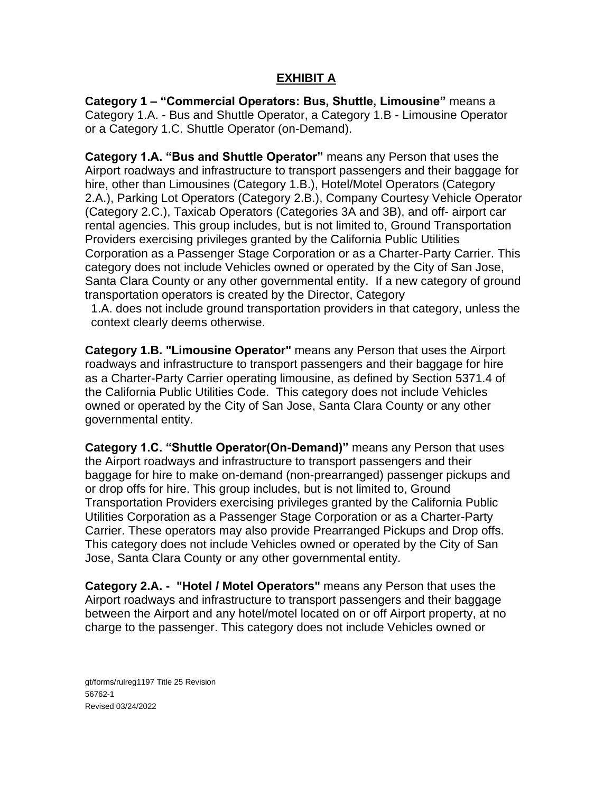**Category 1 – "Commercial Operators: Bus, Shuttle, Limousine"** means a Category 1.A. - Bus and Shuttle Operator, a Category 1.B - Limousine Operator or a Category 1.C. Shuttle Operator (on-Demand).

**Category 1.A. "Bus and Shuttle Operator"** means any Person that uses the Airport roadways and infrastructure to transport passengers and their baggage for hire, other than Limousines (Category 1.B.), Hotel/Motel Operators (Category 2.A.), Parking Lot Operators (Category 2.B.), Company Courtesy Vehicle Operator (Category 2.C.), Taxicab Operators (Categories 3A and 3B), and off- airport car rental agencies. This group includes, but is not limited to, Ground Transportation Providers exercising privileges granted by the California Public Utilities Corporation as a Passenger Stage Corporation or as a Charter-Party Carrier. This category does not include Vehicles owned or operated by the City of San Jose, Santa Clara County or any other governmental entity. If a new category of ground transportation operators is created by the Director, Category

1.A. does not include ground transportation providers in that category, unless the context clearly deems otherwise.

**Category 1.B. "Limousine Operator"** means any Person that uses the Airport roadways and infrastructure to transport passengers and their baggage for hire as a Charter-Party Carrier operating limousine, as defined by Section 5371.4 of the California Public Utilities Code. This category does not include Vehicles owned or operated by the City of San Jose, Santa Clara County or any other governmental entity.

**Category 1.C. "Shuttle Operator(On-Demand)"** means any Person that uses the Airport roadways and infrastructure to transport passengers and their baggage for hire to make on-demand (non-prearranged) passenger pickups and or drop offs for hire. This group includes, but is not limited to, Ground Transportation Providers exercising privileges granted by the California Public Utilities Corporation as a Passenger Stage Corporation or as a Charter-Party Carrier. These operators may also provide Prearranged Pickups and Drop offs. This category does not include Vehicles owned or operated by the City of San Jose, Santa Clara County or any other governmental entity.

**Category 2.A. - "Hotel / Motel Operators"** means any Person that uses the Airport roadways and infrastructure to transport passengers and their baggage between the Airport and any hotel/motel located on or off Airport property, at no charge to the passenger. This category does not include Vehicles owned or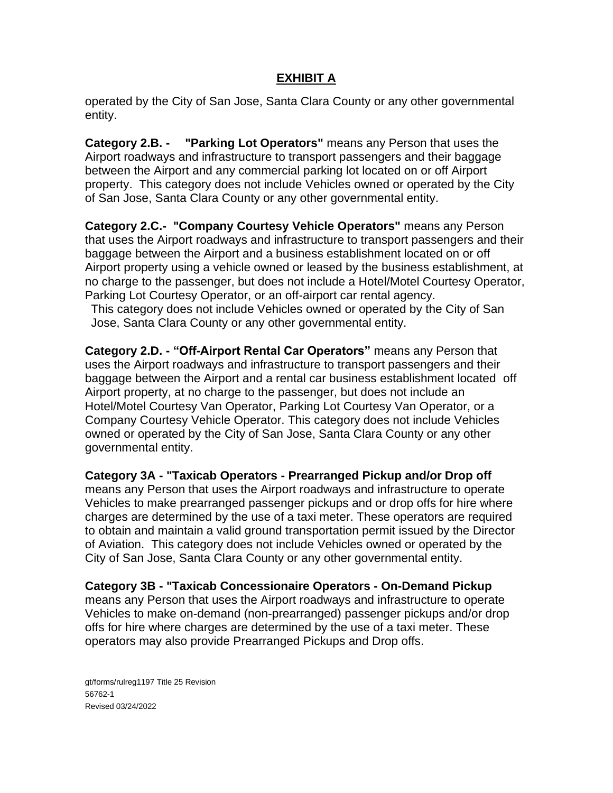operated by the City of San Jose, Santa Clara County or any other governmental entity.

**Category 2.B. - "Parking Lot Operators"** means any Person that uses the Airport roadways and infrastructure to transport passengers and their baggage between the Airport and any commercial parking lot located on or off Airport property. This category does not include Vehicles owned or operated by the City of San Jose, Santa Clara County or any other governmental entity.

**Category 2.C.- "Company Courtesy Vehicle Operators"** means any Person that uses the Airport roadways and infrastructure to transport passengers and their baggage between the Airport and a business establishment located on or off Airport property using a vehicle owned or leased by the business establishment, at no charge to the passenger, but does not include a Hotel/Motel Courtesy Operator, Parking Lot Courtesy Operator, or an off-airport car rental agency.

This category does not include Vehicles owned or operated by the City of San Jose, Santa Clara County or any other governmental entity.

**Category 2.D. - "Off-Airport Rental Car Operators"** means any Person that uses the Airport roadways and infrastructure to transport passengers and their baggage between the Airport and a rental car business establishment located off Airport property, at no charge to the passenger, but does not include an Hotel/Motel Courtesy Van Operator, Parking Lot Courtesy Van Operator, or a Company Courtesy Vehicle Operator. This category does not include Vehicles owned or operated by the City of San Jose, Santa Clara County or any other governmental entity.

**Category 3A - "Taxicab Operators - Prearranged Pickup and/or Drop off**  means any Person that uses the Airport roadways and infrastructure to operate Vehicles to make prearranged passenger pickups and or drop offs for hire where charges are determined by the use of a taxi meter. These operators are required to obtain and maintain a valid ground transportation permit issued by the Director of Aviation. This category does not include Vehicles owned or operated by the City of San Jose, Santa Clara County or any other governmental entity.

**Category 3B - "Taxicab Concessionaire Operators - On-Demand Pickup**  means any Person that uses the Airport roadways and infrastructure to operate Vehicles to make on-demand (non-prearranged) passenger pickups and/or drop offs for hire where charges are determined by the use of a taxi meter. These operators may also provide Prearranged Pickups and Drop offs.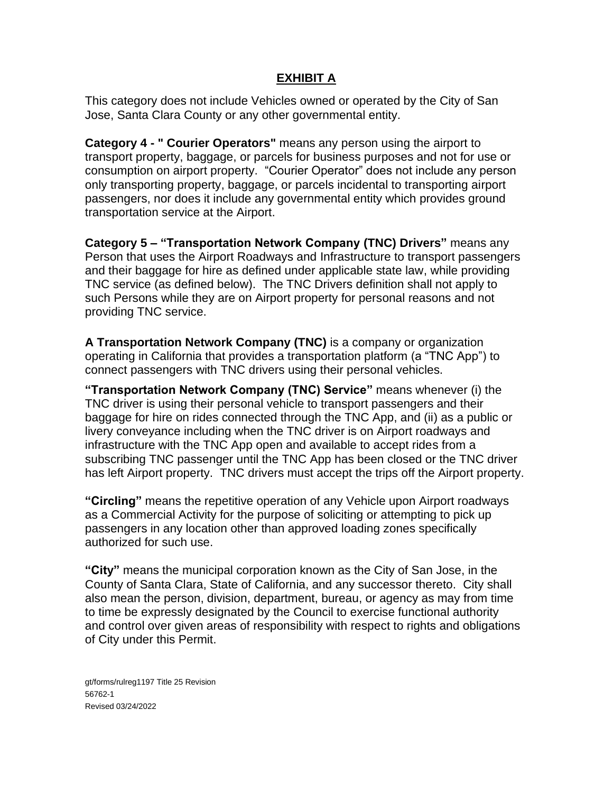This category does not include Vehicles owned or operated by the City of San Jose, Santa Clara County or any other governmental entity.

**Category 4 - " Courier Operators"** means any person using the airport to transport property, baggage, or parcels for business purposes and not for use or consumption on airport property. "Courier Operator" does not include any person only transporting property, baggage, or parcels incidental to transporting airport passengers, nor does it include any governmental entity which provides ground transportation service at the Airport.

**Category 5 – "Transportation Network Company (TNC) Drivers"** means any Person that uses the Airport Roadways and Infrastructure to transport passengers and their baggage for hire as defined under applicable state law, while providing TNC service (as defined below). The TNC Drivers definition shall not apply to such Persons while they are on Airport property for personal reasons and not providing TNC service.

**A Transportation Network Company (TNC)** is a company or organization operating in California that provides a transportation platform (a "TNC App") to connect passengers with TNC drivers using their personal vehicles.

**"Transportation Network Company (TNC) Service"** means whenever (i) the TNC driver is using their personal vehicle to transport passengers and their baggage for hire on rides connected through the TNC App, and (ii) as a public or livery conveyance including when the TNC driver is on Airport roadways and infrastructure with the TNC App open and available to accept rides from a subscribing TNC passenger until the TNC App has been closed or the TNC driver has left Airport property. TNC drivers must accept the trips off the Airport property.

**"Circling"** means the repetitive operation of any Vehicle upon Airport roadways as a Commercial Activity for the purpose of soliciting or attempting to pick up passengers in any location other than approved loading zones specifically authorized for such use.

**"City"** means the municipal corporation known as the City of San Jose, in the County of Santa Clara, State of California, and any successor thereto. City shall also mean the person, division, department, bureau, or agency as may from time to time be expressly designated by the Council to exercise functional authority and control over given areas of responsibility with respect to rights and obligations of City under this Permit.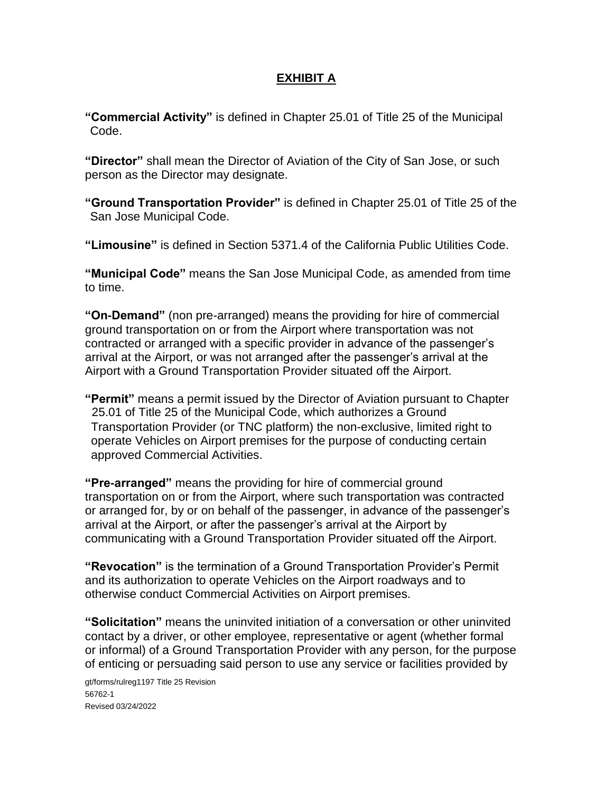**"Commercial Activity"** is defined in Chapter 25.01 of Title 25 of the Municipal Code.

**"Director"** shall mean the Director of Aviation of the City of San Jose, or such person as the Director may designate.

**"Ground Transportation Provider"** is defined in Chapter 25.01 of Title 25 of the San Jose Municipal Code.

**"Limousine"** is defined in Section 5371.4 of the California Public Utilities Code.

**"Municipal Code"** means the San Jose Municipal Code, as amended from time to time.

**"On-Demand"** (non pre-arranged) means the providing for hire of commercial ground transportation on or from the Airport where transportation was not contracted or arranged with a specific provider in advance of the passenger's arrival at the Airport, or was not arranged after the passenger's arrival at the Airport with a Ground Transportation Provider situated off the Airport.

**"Permit"** means a permit issued by the Director of Aviation pursuant to Chapter 25.01 of Title 25 of the Municipal Code, which authorizes a Ground Transportation Provider (or TNC platform) the non-exclusive, limited right to operate Vehicles on Airport premises for the purpose of conducting certain approved Commercial Activities.

**"Pre-arranged"** means the providing for hire of commercial ground transportation on or from the Airport, where such transportation was contracted or arranged for, by or on behalf of the passenger, in advance of the passenger's arrival at the Airport, or after the passenger's arrival at the Airport by communicating with a Ground Transportation Provider situated off the Airport.

**"Revocation"** is the termination of a Ground Transportation Provider's Permit and its authorization to operate Vehicles on the Airport roadways and to otherwise conduct Commercial Activities on Airport premises.

**"Solicitation"** means the uninvited initiation of a conversation or other uninvited contact by a driver, or other employee, representative or agent (whether formal or informal) of a Ground Transportation Provider with any person, for the purpose of enticing or persuading said person to use any service or facilities provided by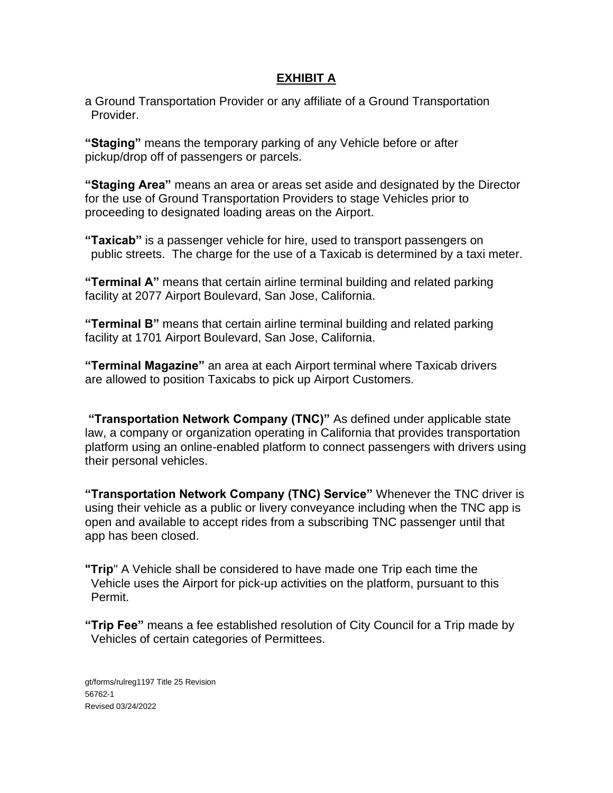a Ground Transportation Provider or any affiliate of a Ground Transportation Provider.

**"Staging"** means the temporary parking of any Vehicle before or after pickup/drop off of passengers or parcels.

**"Staging Area"** means an area or areas set aside and designated by the Director for the use of Ground Transportation Providers to stage Vehicles prior to proceeding to designated loading areas on the Airport.

**"Taxicab"** is a passenger vehicle for hire, used to transport passengers on public streets. The charge for the use of a Taxicab is determined by a taxi meter.

**"Terminal A"** means that certain airline terminal building and related parking facility at 2077 Airport Boulevard, San Jose, California.

**"Terminal B"** means that certain airline terminal building and related parking facility at 1701 Airport Boulevard, San Jose, California.

**"Terminal Magazine"** an area at each Airport terminal where Taxicab drivers are allowed to position Taxicabs to pick up Airport Customers.

**"Transportation Network Company (TNC)"** As defined under applicable state law, a company or organization operating in California that provides transportation platform using an online-enabled platform to connect passengers with drivers using their personal vehicles.

**"Transportation Network Company (TNC) Service"** Whenever the TNC driver is using their vehicle as a public or livery conveyance including when the TNC app is open and available to accept rides from a subscribing TNC passenger until that app has been closed.

**"Trip**" A Vehicle shall be considered to have made one Trip each time the Vehicle uses the Airport for pick-up activities on the platform, pursuant to this Permit.

**"Trip Fee"** means a fee established resolution of City Council for a Trip made by Vehicles of certain categories of Permittees.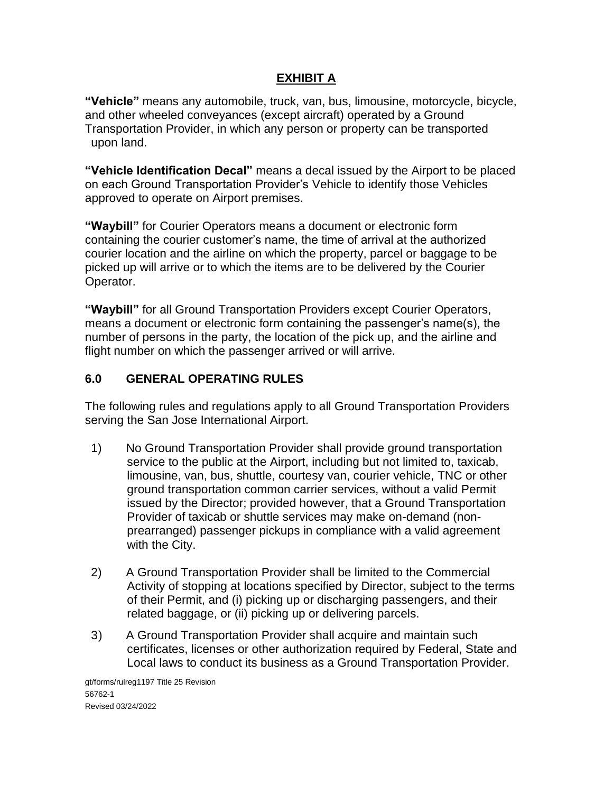**"Vehicle"** means any automobile, truck, van, bus, limousine, motorcycle, bicycle, and other wheeled conveyances (except aircraft) operated by a Ground Transportation Provider, in which any person or property can be transported upon land.

**"Vehicle Identification Decal"** means a decal issued by the Airport to be placed on each Ground Transportation Provider's Vehicle to identify those Vehicles approved to operate on Airport premises.

**"Waybill"** for Courier Operators means a document or electronic form containing the courier customer's name, the time of arrival at the authorized courier location and the airline on which the property, parcel or baggage to be picked up will arrive or to which the items are to be delivered by the Courier Operator.

**"Waybill"** for all Ground Transportation Providers except Courier Operators, means a document or electronic form containing the passenger's name(s), the number of persons in the party, the location of the pick up, and the airline and flight number on which the passenger arrived or will arrive.

# **6.0 GENERAL OPERATING RULES**

The following rules and regulations apply to all Ground Transportation Providers serving the San Jose International Airport.

- 1) No Ground Transportation Provider shall provide ground transportation service to the public at the Airport, including but not limited to, taxicab, limousine, van, bus, shuttle, courtesy van, courier vehicle, TNC or other ground transportation common carrier services, without a valid Permit issued by the Director; provided however, that a Ground Transportation Provider of taxicab or shuttle services may make on-demand (nonprearranged) passenger pickups in compliance with a valid agreement with the City.
- 2) A Ground Transportation Provider shall be limited to the Commercial Activity of stopping at locations specified by Director, subject to the terms of their Permit, and (i) picking up or discharging passengers, and their related baggage, or (ii) picking up or delivering parcels.
- 3) A Ground Transportation Provider shall acquire and maintain such certificates, licenses or other authorization required by Federal, State and Local laws to conduct its business as a Ground Transportation Provider.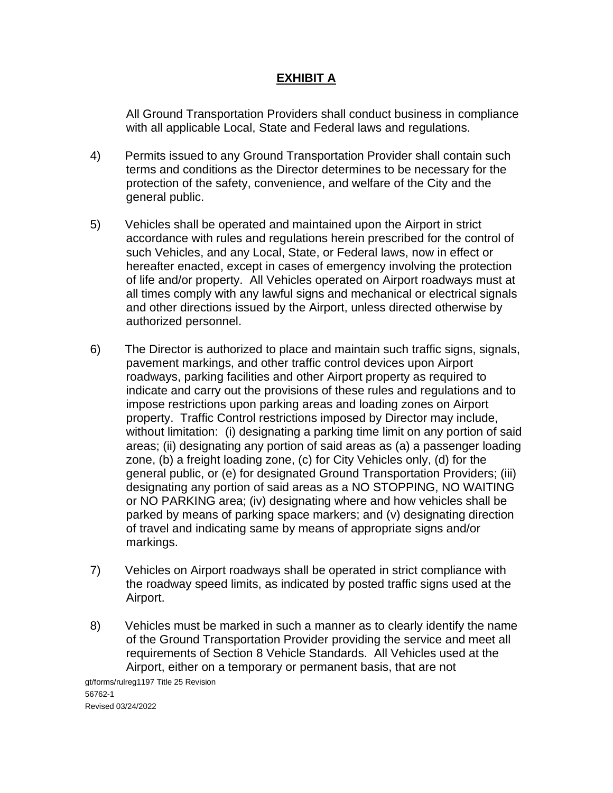All Ground Transportation Providers shall conduct business in compliance with all applicable Local, State and Federal laws and regulations.

- 4) Permits issued to any Ground Transportation Provider shall contain such terms and conditions as the Director determines to be necessary for the protection of the safety, convenience, and welfare of the City and the general public.
- 5) Vehicles shall be operated and maintained upon the Airport in strict accordance with rules and regulations herein prescribed for the control of such Vehicles, and any Local, State, or Federal laws, now in effect or hereafter enacted, except in cases of emergency involving the protection of life and/or property. All Vehicles operated on Airport roadways must at all times comply with any lawful signs and mechanical or electrical signals and other directions issued by the Airport, unless directed otherwise by authorized personnel.
- 6) The Director is authorized to place and maintain such traffic signs, signals, pavement markings, and other traffic control devices upon Airport roadways, parking facilities and other Airport property as required to indicate and carry out the provisions of these rules and regulations and to impose restrictions upon parking areas and loading zones on Airport property. Traffic Control restrictions imposed by Director may include, without limitation: (i) designating a parking time limit on any portion of said areas; (ii) designating any portion of said areas as (a) a passenger loading zone, (b) a freight loading zone, (c) for City Vehicles only, (d) for the general public, or (e) for designated Ground Transportation Providers; (iii) designating any portion of said areas as a NO STOPPING, NO WAITING or NO PARKING area; (iv) designating where and how vehicles shall be parked by means of parking space markers; and (v) designating direction of travel and indicating same by means of appropriate signs and/or markings.
- 7) Vehicles on Airport roadways shall be operated in strict compliance with the roadway speed limits, as indicated by posted traffic signs used at the Airport.
- 8) Vehicles must be marked in such a manner as to clearly identify the name of the Ground Transportation Provider providing the service and meet all requirements of Section 8 Vehicle Standards. All Vehicles used at the Airport, either on a temporary or permanent basis, that are not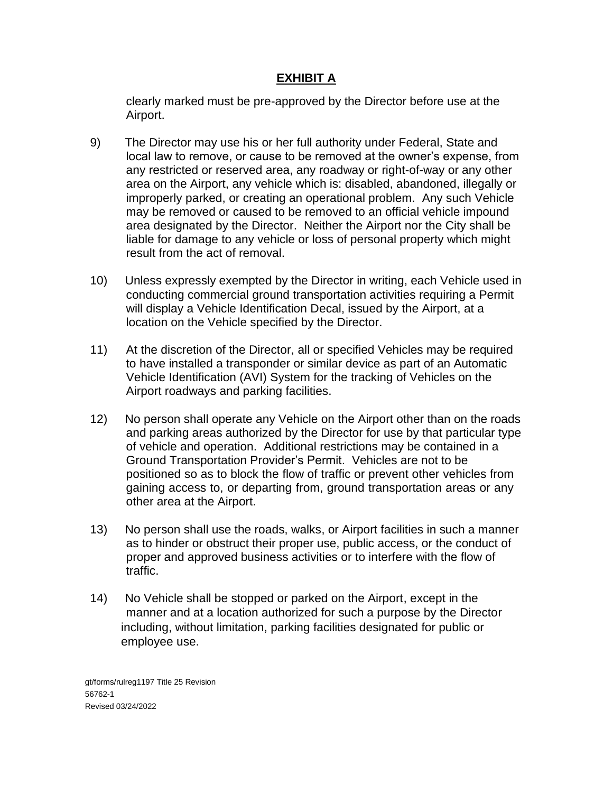clearly marked must be pre-approved by the Director before use at the Airport.

- 9) The Director may use his or her full authority under Federal, State and local law to remove, or cause to be removed at the owner's expense, from any restricted or reserved area, any roadway or right-of-way or any other area on the Airport, any vehicle which is: disabled, abandoned, illegally or improperly parked, or creating an operational problem. Any such Vehicle may be removed or caused to be removed to an official vehicle impound area designated by the Director. Neither the Airport nor the City shall be liable for damage to any vehicle or loss of personal property which might result from the act of removal.
- 10) Unless expressly exempted by the Director in writing, each Vehicle used in conducting commercial ground transportation activities requiring a Permit will display a Vehicle Identification Decal, issued by the Airport, at a location on the Vehicle specified by the Director.
- 11) At the discretion of the Director, all or specified Vehicles may be required to have installed a transponder or similar device as part of an Automatic Vehicle Identification (AVI) System for the tracking of Vehicles on the Airport roadways and parking facilities.
- 12) No person shall operate any Vehicle on the Airport other than on the roads and parking areas authorized by the Director for use by that particular type of vehicle and operation. Additional restrictions may be contained in a Ground Transportation Provider's Permit. Vehicles are not to be positioned so as to block the flow of traffic or prevent other vehicles from gaining access to, or departing from, ground transportation areas or any other area at the Airport.
- 13) No person shall use the roads, walks, or Airport facilities in such a manner as to hinder or obstruct their proper use, public access, or the conduct of proper and approved business activities or to interfere with the flow of traffic.
- 14) No Vehicle shall be stopped or parked on the Airport, except in the manner and at a location authorized for such a purpose by the Director including, without limitation, parking facilities designated for public or employee use.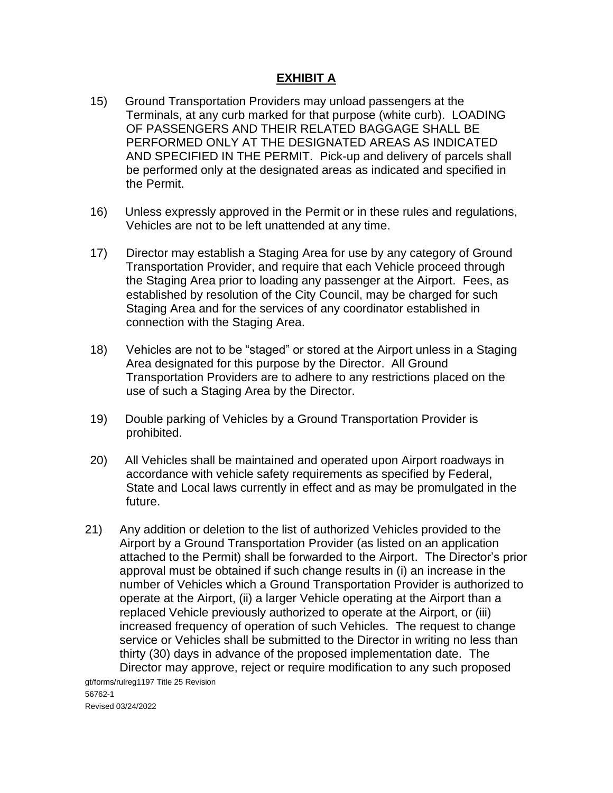- 15) Ground Transportation Providers may unload passengers at the Terminals, at any curb marked for that purpose (white curb). LOADING OF PASSENGERS AND THEIR RELATED BAGGAGE SHALL BE PERFORMED ONLY AT THE DESIGNATED AREAS AS INDICATED AND SPECIFIED IN THE PERMIT. Pick-up and delivery of parcels shall be performed only at the designated areas as indicated and specified in the Permit.
- 16) Unless expressly approved in the Permit or in these rules and regulations, Vehicles are not to be left unattended at any time.
- 17) Director may establish a Staging Area for use by any category of Ground Transportation Provider, and require that each Vehicle proceed through the Staging Area prior to loading any passenger at the Airport. Fees, as established by resolution of the City Council, may be charged for such Staging Area and for the services of any coordinator established in connection with the Staging Area.
- 18) Vehicles are not to be "staged" or stored at the Airport unless in a Staging Area designated for this purpose by the Director. All Ground Transportation Providers are to adhere to any restrictions placed on the use of such a Staging Area by the Director.
- 19) Double parking of Vehicles by a Ground Transportation Provider is prohibited.
- 20) All Vehicles shall be maintained and operated upon Airport roadways in accordance with vehicle safety requirements as specified by Federal, State and Local laws currently in effect and as may be promulgated in the future.
- 21) Any addition or deletion to the list of authorized Vehicles provided to the Airport by a Ground Transportation Provider (as listed on an application attached to the Permit) shall be forwarded to the Airport. The Director's prior approval must be obtained if such change results in (i) an increase in the number of Vehicles which a Ground Transportation Provider is authorized to operate at the Airport, (ii) a larger Vehicle operating at the Airport than a replaced Vehicle previously authorized to operate at the Airport, or (iii) increased frequency of operation of such Vehicles. The request to change service or Vehicles shall be submitted to the Director in writing no less than thirty (30) days in advance of the proposed implementation date. The Director may approve, reject or require modification to any such proposed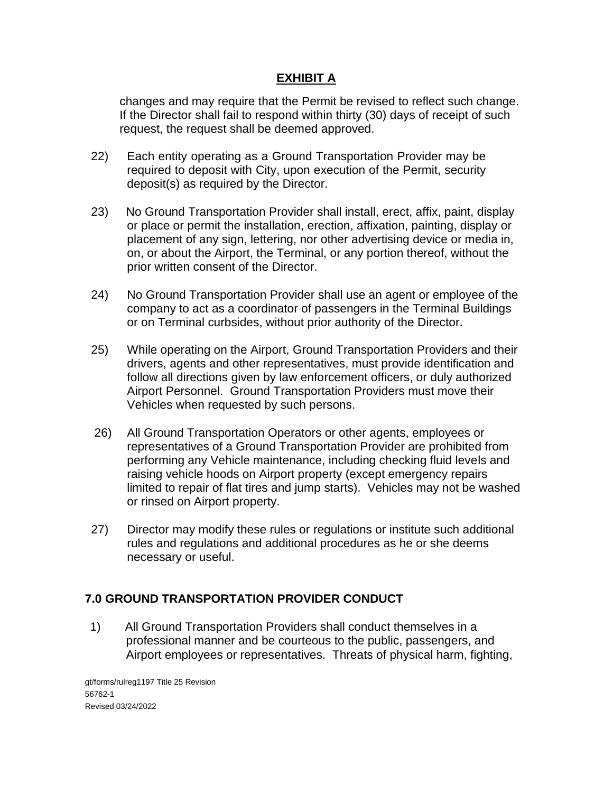changes and may require that the Permit be revised to reflect such change. If the Director shall fail to respond within thirty (30) days of receipt of such request, the request shall be deemed approved.

- 22) Each entity operating as a Ground Transportation Provider may be required to deposit with City, upon execution of the Permit, security deposit(s) as required by the Director.
- 23) No Ground Transportation Provider shall install, erect, affix, paint, display or place or permit the installation, erection, affixation, painting, display or placement of any sign, lettering, nor other advertising device or media in, on, or about the Airport, the Terminal, or any portion thereof, without the prior written consent of the Director.
- 24) No Ground Transportation Provider shall use an agent or employee of the company to act as a coordinator of passengers in the Terminal Buildings or on Terminal curbsides, without prior authority of the Director.
- 25) While operating on the Airport, Ground Transportation Providers and their drivers, agents and other representatives, must provide identification and follow all directions given by law enforcement officers, or duly authorized Airport Personnel. Ground Transportation Providers must move their Vehicles when requested by such persons.
- 26) All Ground Transportation Operators or other agents, employees or representatives of a Ground Transportation Provider are prohibited from performing any Vehicle maintenance, including checking fluid levels and raising vehicle hoods on Airport property (except emergency repairs limited to repair of flat tires and jump starts). Vehicles may not be washed or rinsed on Airport property.
- 27) Director may modify these rules or regulations or institute such additional rules and regulations and additional procedures as he or she deems necessary or useful.

## **7.0 GROUND TRANSPORTATION PROVIDER CONDUCT**

1) All Ground Transportation Providers shall conduct themselves in a professional manner and be courteous to the public, passengers, and Airport employees or representatives. Threats of physical harm, fighting,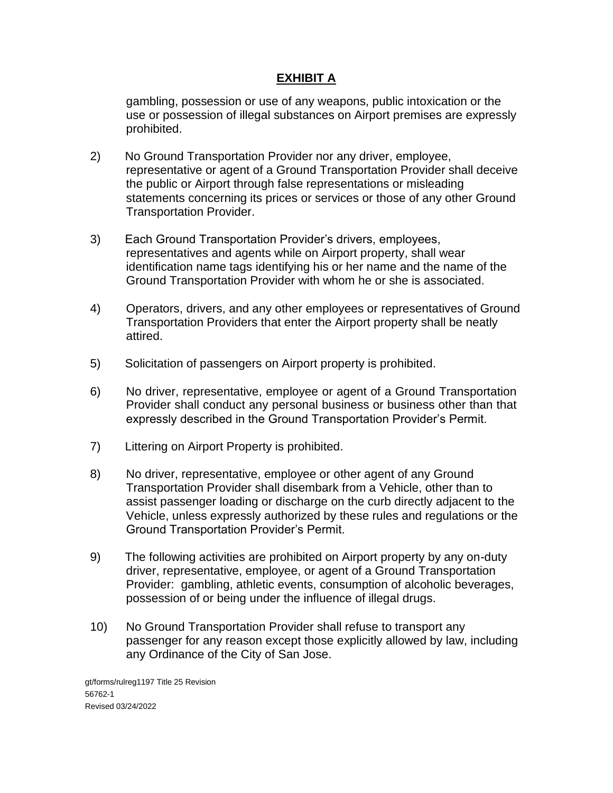gambling, possession or use of any weapons, public intoxication or the use or possession of illegal substances on Airport premises are expressly prohibited.

- 2) No Ground Transportation Provider nor any driver, employee, representative or agent of a Ground Transportation Provider shall deceive the public or Airport through false representations or misleading statements concerning its prices or services or those of any other Ground Transportation Provider.
- 3) Each Ground Transportation Provider's drivers, employees, representatives and agents while on Airport property, shall wear identification name tags identifying his or her name and the name of the Ground Transportation Provider with whom he or she is associated.
- 4) Operators, drivers, and any other employees or representatives of Ground Transportation Providers that enter the Airport property shall be neatly attired.
- 5) Solicitation of passengers on Airport property is prohibited.
- 6) No driver, representative, employee or agent of a Ground Transportation Provider shall conduct any personal business or business other than that expressly described in the Ground Transportation Provider's Permit.
- 7) Littering on Airport Property is prohibited.
- 8) No driver, representative, employee or other agent of any Ground Transportation Provider shall disembark from a Vehicle, other than to assist passenger loading or discharge on the curb directly adjacent to the Vehicle, unless expressly authorized by these rules and regulations or the Ground Transportation Provider's Permit.
- 9) The following activities are prohibited on Airport property by any on-duty driver, representative, employee, or agent of a Ground Transportation Provider: gambling, athletic events, consumption of alcoholic beverages, possession of or being under the influence of illegal drugs.
- 10) No Ground Transportation Provider shall refuse to transport any passenger for any reason except those explicitly allowed by law, including any Ordinance of the City of San Jose.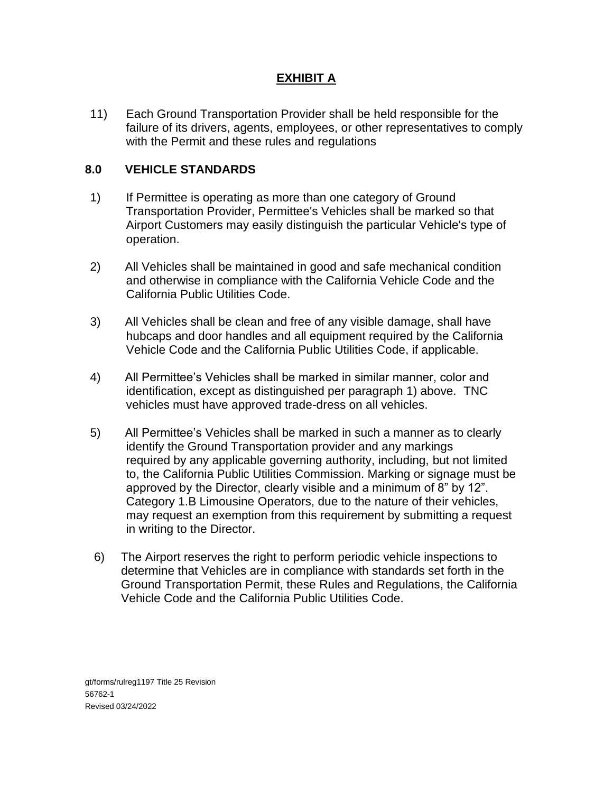11) Each Ground Transportation Provider shall be held responsible for the failure of its drivers, agents, employees, or other representatives to comply with the Permit and these rules and regulations

#### **8.0 VEHICLE STANDARDS**

- 1) If Permittee is operating as more than one category of Ground Transportation Provider, Permittee's Vehicles shall be marked so that Airport Customers may easily distinguish the particular Vehicle's type of operation.
- 2) All Vehicles shall be maintained in good and safe mechanical condition and otherwise in compliance with the California Vehicle Code and the California Public Utilities Code.
- 3) All Vehicles shall be clean and free of any visible damage, shall have hubcaps and door handles and all equipment required by the California Vehicle Code and the California Public Utilities Code, if applicable.
- 4) All Permittee's Vehicles shall be marked in similar manner, color and identification, except as distinguished per paragraph 1) above. TNC vehicles must have approved trade-dress on all vehicles.
- 5) All Permittee's Vehicles shall be marked in such a manner as to clearly identify the Ground Transportation provider and any markings required by any applicable governing authority, including, but not limited to, the California Public Utilities Commission. Marking or signage must be approved by the Director, clearly visible and a minimum of 8" by 12". Category 1.B Limousine Operators, due to the nature of their vehicles, may request an exemption from this requirement by submitting a request in writing to the Director.
- 6) The Airport reserves the right to perform periodic vehicle inspections to determine that Vehicles are in compliance with standards set forth in the Ground Transportation Permit, these Rules and Regulations, the California Vehicle Code and the California Public Utilities Code.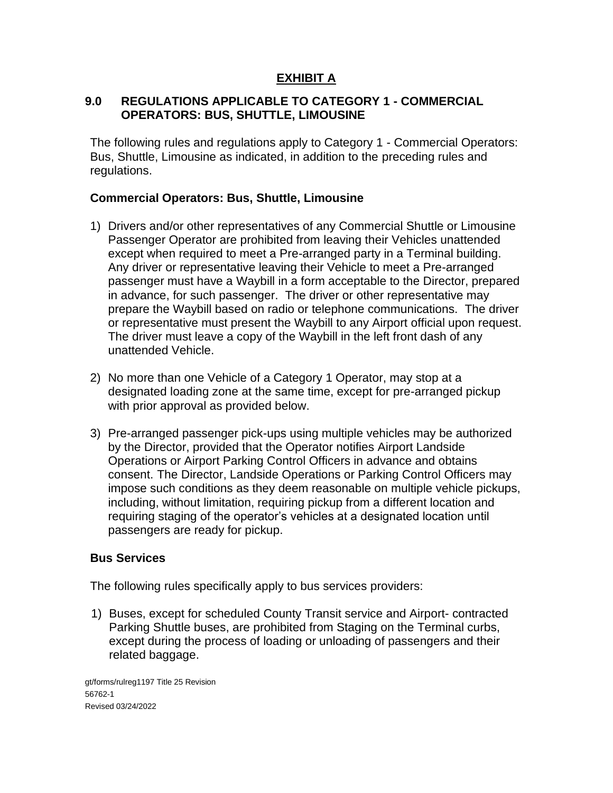#### **9.0 REGULATIONS APPLICABLE TO CATEGORY 1 - COMMERCIAL OPERATORS: BUS, SHUTTLE, LIMOUSINE**

The following rules and regulations apply to Category 1 - Commercial Operators: Bus, Shuttle, Limousine as indicated, in addition to the preceding rules and regulations.

#### **Commercial Operators: Bus, Shuttle, Limousine**

- 1) Drivers and/or other representatives of any Commercial Shuttle or Limousine Passenger Operator are prohibited from leaving their Vehicles unattended except when required to meet a Pre-arranged party in a Terminal building. Any driver or representative leaving their Vehicle to meet a Pre-arranged passenger must have a Waybill in a form acceptable to the Director, prepared in advance, for such passenger. The driver or other representative may prepare the Waybill based on radio or telephone communications. The driver or representative must present the Waybill to any Airport official upon request. The driver must leave a copy of the Waybill in the left front dash of any unattended Vehicle.
- 2) No more than one Vehicle of a Category 1 Operator, may stop at a designated loading zone at the same time, except for pre-arranged pickup with prior approval as provided below.
- 3) Pre-arranged passenger pick-ups using multiple vehicles may be authorized by the Director, provided that the Operator notifies Airport Landside Operations or Airport Parking Control Officers in advance and obtains consent. The Director, Landside Operations or Parking Control Officers may impose such conditions as they deem reasonable on multiple vehicle pickups, including, without limitation, requiring pickup from a different location and requiring staging of the operator's vehicles at a designated location until passengers are ready for pickup.

## **Bus Services**

The following rules specifically apply to bus services providers:

1) Buses, except for scheduled County Transit service and Airport- contracted Parking Shuttle buses, are prohibited from Staging on the Terminal curbs, except during the process of loading or unloading of passengers and their related baggage.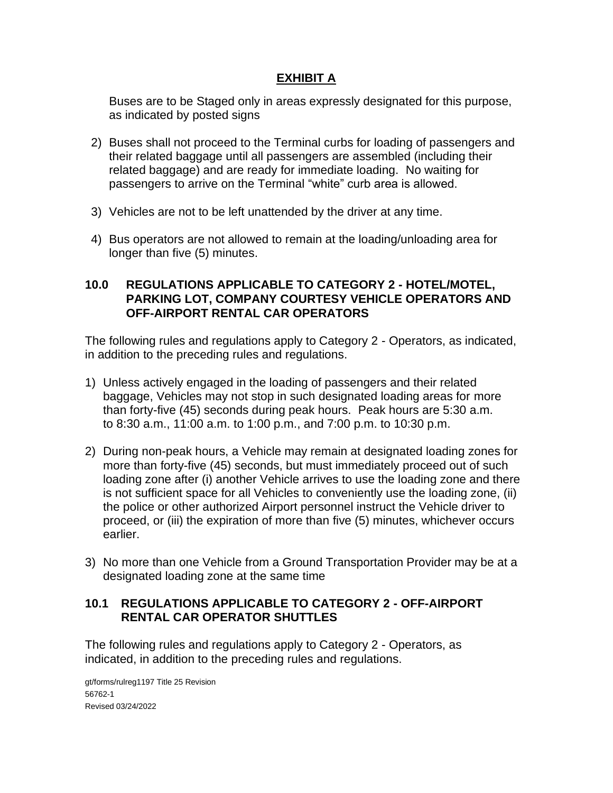Buses are to be Staged only in areas expressly designated for this purpose, as indicated by posted signs

- 2) Buses shall not proceed to the Terminal curbs for loading of passengers and their related baggage until all passengers are assembled (including their related baggage) and are ready for immediate loading. No waiting for passengers to arrive on the Terminal "white" curb area is allowed.
- 3) Vehicles are not to be left unattended by the driver at any time.
- 4) Bus operators are not allowed to remain at the loading/unloading area for longer than five (5) minutes.

#### **10.0 REGULATIONS APPLICABLE TO CATEGORY 2 - HOTEL/MOTEL, PARKING LOT, COMPANY COURTESY VEHICLE OPERATORS AND OFF-AIRPORT RENTAL CAR OPERATORS**

The following rules and regulations apply to Category 2 - Operators, as indicated, in addition to the preceding rules and regulations.

- 1) Unless actively engaged in the loading of passengers and their related baggage, Vehicles may not stop in such designated loading areas for more than forty-five (45) seconds during peak hours. Peak hours are 5:30 a.m. to 8:30 a.m., 11:00 a.m. to 1:00 p.m., and 7:00 p.m. to 10:30 p.m.
- 2) During non-peak hours, a Vehicle may remain at designated loading zones for more than forty-five (45) seconds, but must immediately proceed out of such loading zone after (i) another Vehicle arrives to use the loading zone and there is not sufficient space for all Vehicles to conveniently use the loading zone, (ii) the police or other authorized Airport personnel instruct the Vehicle driver to proceed, or (iii) the expiration of more than five (5) minutes, whichever occurs earlier.
- 3) No more than one Vehicle from a Ground Transportation Provider may be at a designated loading zone at the same time

## **10.1 REGULATIONS APPLICABLE TO CATEGORY 2 - OFF-AIRPORT RENTAL CAR OPERATOR SHUTTLES**

The following rules and regulations apply to Category 2 - Operators, as indicated, in addition to the preceding rules and regulations.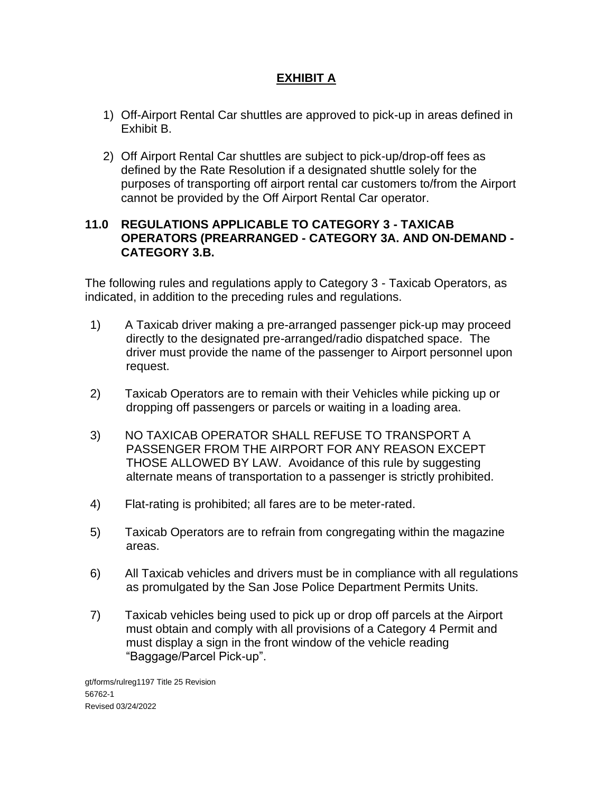- 1) Off-Airport Rental Car shuttles are approved to pick-up in areas defined in Exhibit B.
- 2) Off Airport Rental Car shuttles are subject to pick-up/drop-off fees as defined by the Rate Resolution if a designated shuttle solely for the purposes of transporting off airport rental car customers to/from the Airport cannot be provided by the Off Airport Rental Car operator.

#### **11.0 REGULATIONS APPLICABLE TO CATEGORY 3 - TAXICAB OPERATORS (PREARRANGED - CATEGORY 3A. AND ON-DEMAND - CATEGORY 3.B.**

The following rules and regulations apply to Category 3 - Taxicab Operators, as indicated, in addition to the preceding rules and regulations.

- 1) A Taxicab driver making a pre-arranged passenger pick-up may proceed directly to the designated pre-arranged/radio dispatched space. The driver must provide the name of the passenger to Airport personnel upon request.
- 2) Taxicab Operators are to remain with their Vehicles while picking up or dropping off passengers or parcels or waiting in a loading area.
- 3) NO TAXICAB OPERATOR SHALL REFUSE TO TRANSPORT A PASSENGER FROM THE AIRPORT FOR ANY REASON EXCEPT THOSE ALLOWED BY LAW. Avoidance of this rule by suggesting alternate means of transportation to a passenger is strictly prohibited.
- 4) Flat-rating is prohibited; all fares are to be meter-rated.
- 5) Taxicab Operators are to refrain from congregating within the magazine areas.
- 6) All Taxicab vehicles and drivers must be in compliance with all regulations as promulgated by the San Jose Police Department Permits Units.
- 7) Taxicab vehicles being used to pick up or drop off parcels at the Airport must obtain and comply with all provisions of a Category 4 Permit and must display a sign in the front window of the vehicle reading "Baggage/Parcel Pick-up".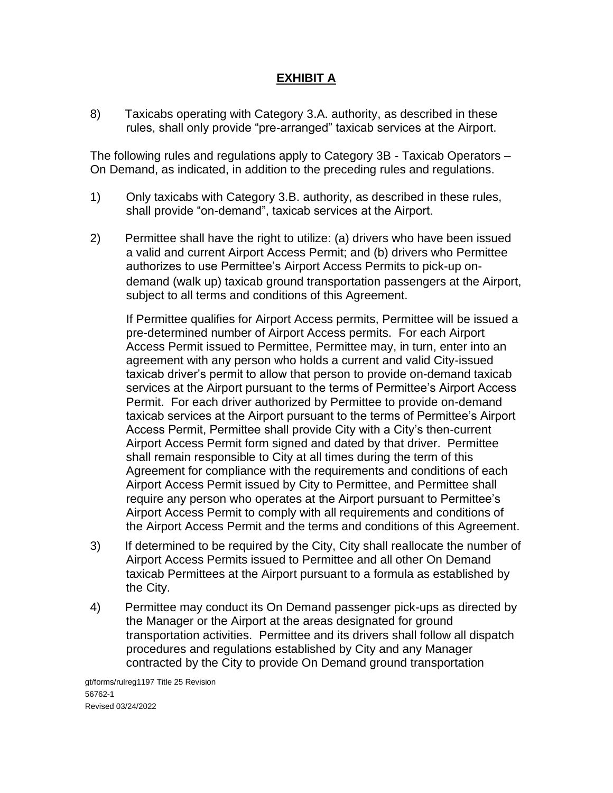8) Taxicabs operating with Category 3.A. authority, as described in these rules, shall only provide "pre-arranged" taxicab services at the Airport.

The following rules and regulations apply to Category 3B - Taxicab Operators – On Demand, as indicated, in addition to the preceding rules and regulations.

- 1) Only taxicabs with Category 3.B. authority, as described in these rules, shall provide "on-demand", taxicab services at the Airport.
- 2) Permittee shall have the right to utilize: (a) drivers who have been issued a valid and current Airport Access Permit; and (b) drivers who Permittee authorizes to use Permittee's Airport Access Permits to pick-up ondemand (walk up) taxicab ground transportation passengers at the Airport, subject to all terms and conditions of this Agreement.

If Permittee qualifies for Airport Access permits, Permittee will be issued a pre-determined number of Airport Access permits. For each Airport Access Permit issued to Permittee, Permittee may, in turn, enter into an agreement with any person who holds a current and valid City-issued taxicab driver's permit to allow that person to provide on-demand taxicab services at the Airport pursuant to the terms of Permittee's Airport Access Permit. For each driver authorized by Permittee to provide on-demand taxicab services at the Airport pursuant to the terms of Permittee's Airport Access Permit, Permittee shall provide City with a City's then-current Airport Access Permit form signed and dated by that driver. Permittee shall remain responsible to City at all times during the term of this Agreement for compliance with the requirements and conditions of each Airport Access Permit issued by City to Permittee, and Permittee shall require any person who operates at the Airport pursuant to Permittee's Airport Access Permit to comply with all requirements and conditions of the Airport Access Permit and the terms and conditions of this Agreement.

- 3) If determined to be required by the City, City shall reallocate the number of Airport Access Permits issued to Permittee and all other On Demand taxicab Permittees at the Airport pursuant to a formula as established by the City.
- 4) Permittee may conduct its On Demand passenger pick-ups as directed by the Manager or the Airport at the areas designated for ground transportation activities. Permittee and its drivers shall follow all dispatch procedures and regulations established by City and any Manager contracted by the City to provide On Demand ground transportation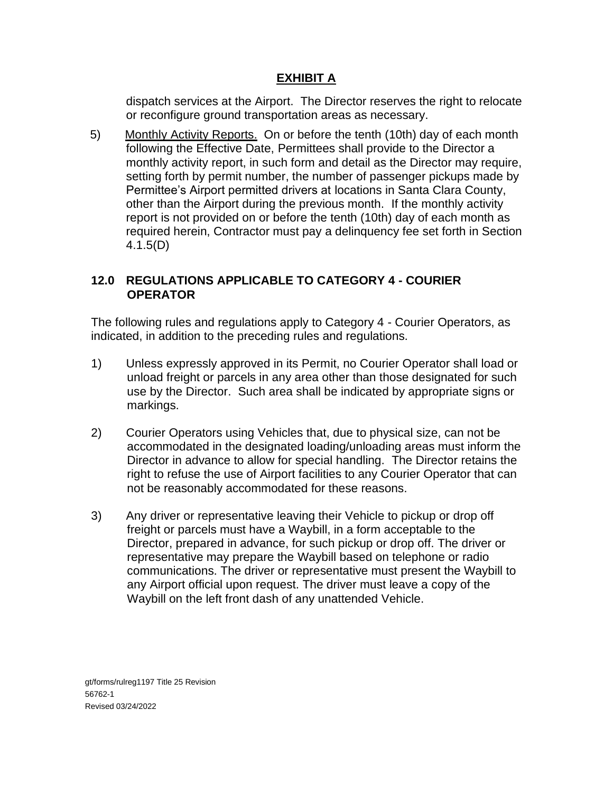dispatch services at the Airport. The Director reserves the right to relocate or reconfigure ground transportation areas as necessary.

5) Monthly Activity Reports. On or before the tenth (10th) day of each month following the Effective Date, Permittees shall provide to the Director a monthly activity report, in such form and detail as the Director may require, setting forth by permit number, the number of passenger pickups made by Permittee's Airport permitted drivers at locations in Santa Clara County, other than the Airport during the previous month. If the monthly activity report is not provided on or before the tenth (10th) day of each month as required herein, Contractor must pay a delinquency fee set forth in Section 4.1.5(D)

# **12.0 REGULATIONS APPLICABLE TO CATEGORY 4 - COURIER OPERATOR**

The following rules and regulations apply to Category 4 - Courier Operators, as indicated, in addition to the preceding rules and regulations.

- 1) Unless expressly approved in its Permit, no Courier Operator shall load or unload freight or parcels in any area other than those designated for such use by the Director. Such area shall be indicated by appropriate signs or markings.
- 2) Courier Operators using Vehicles that, due to physical size, can not be accommodated in the designated loading/unloading areas must inform the Director in advance to allow for special handling. The Director retains the right to refuse the use of Airport facilities to any Courier Operator that can not be reasonably accommodated for these reasons.
- 3) Any driver or representative leaving their Vehicle to pickup or drop off freight or parcels must have a Waybill, in a form acceptable to the Director, prepared in advance, for such pickup or drop off. The driver or representative may prepare the Waybill based on telephone or radio communications. The driver or representative must present the Waybill to any Airport official upon request. The driver must leave a copy of the Waybill on the left front dash of any unattended Vehicle.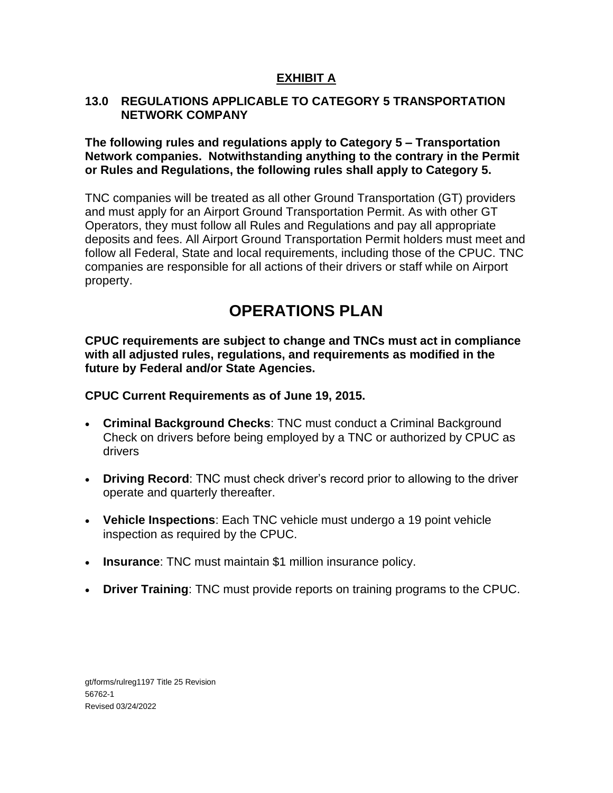#### **13.0 REGULATIONS APPLICABLE TO CATEGORY 5 TRANSPORTATION NETWORK COMPANY**

**The following rules and regulations apply to Category 5 – Transportation Network companies. Notwithstanding anything to the contrary in the Permit or Rules and Regulations, the following rules shall apply to Category 5.**

TNC companies will be treated as all other Ground Transportation (GT) providers and must apply for an Airport Ground Transportation Permit. As with other GT Operators, they must follow all Rules and Regulations and pay all appropriate deposits and fees. All Airport Ground Transportation Permit holders must meet and follow all Federal, State and local requirements, including those of the CPUC. TNC companies are responsible for all actions of their drivers or staff while on Airport property.

# **OPERATIONS PLAN**

**CPUC requirements are subject to change and TNCs must act in compliance with all adjusted rules, regulations, and requirements as modified in the future by Federal and/or State Agencies.** 

### **CPUC Current Requirements as of June 19, 2015.**

- **Criminal Background Checks**: TNC must conduct a Criminal Background Check on drivers before being employed by a TNC or authorized by CPUC as drivers
- **Driving Record**: TNC must check driver's record prior to allowing to the driver operate and quarterly thereafter.
- **Vehicle Inspections**: Each TNC vehicle must undergo a 19 point vehicle inspection as required by the CPUC.
- **Insurance**: TNC must maintain \$1 million insurance policy.
- **Driver Training**: TNC must provide reports on training programs to the CPUC.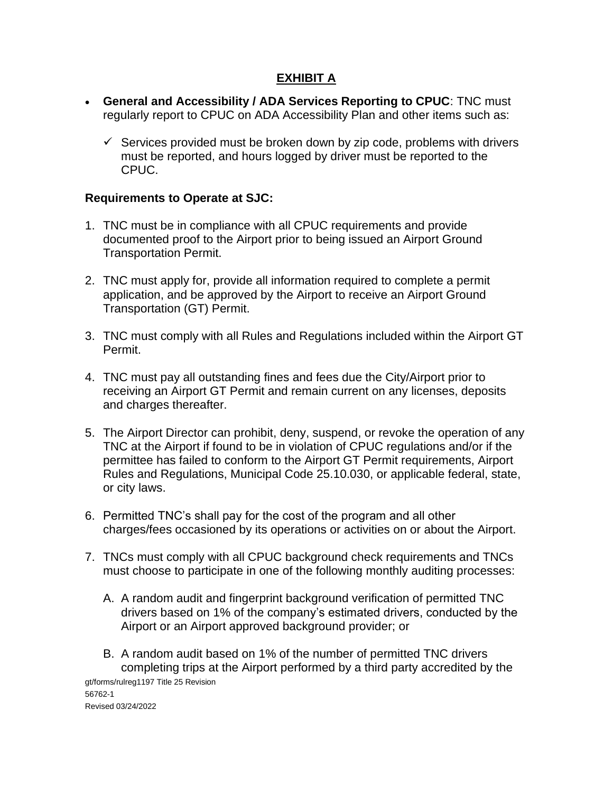- **General and Accessibility / ADA Services Reporting to CPUC**: TNC must regularly report to CPUC on ADA Accessibility Plan and other items such as:
	- $\checkmark$  Services provided must be broken down by zip code, problems with drivers must be reported, and hours logged by driver must be reported to the CPUC.

### **Requirements to Operate at SJC:**

- 1. TNC must be in compliance with all CPUC requirements and provide documented proof to the Airport prior to being issued an Airport Ground Transportation Permit.
- 2. TNC must apply for, provide all information required to complete a permit application, and be approved by the Airport to receive an Airport Ground Transportation (GT) Permit.
- 3. TNC must comply with all Rules and Regulations included within the Airport GT Permit.
- 4. TNC must pay all outstanding fines and fees due the City/Airport prior to receiving an Airport GT Permit and remain current on any licenses, deposits and charges thereafter.
- 5. The Airport Director can prohibit, deny, suspend, or revoke the operation of any TNC at the Airport if found to be in violation of CPUC regulations and/or if the permittee has failed to conform to the Airport GT Permit requirements, Airport Rules and Regulations, Municipal Code 25.10.030, or applicable federal, state, or city laws.
- 6. Permitted TNC's shall pay for the cost of the program and all other charges/fees occasioned by its operations or activities on or about the Airport.
- 7. TNCs must comply with all CPUC background check requirements and TNCs must choose to participate in one of the following monthly auditing processes:
	- A. A random audit and fingerprint background verification of permitted TNC drivers based on 1% of the company's estimated drivers, conducted by the Airport or an Airport approved background provider; or
- gt/forms/rulreg1197 Title 25 Revision 56762-1 Revised 03/24/2022 B. A random audit based on 1% of the number of permitted TNC drivers completing trips at the Airport performed by a third party accredited by the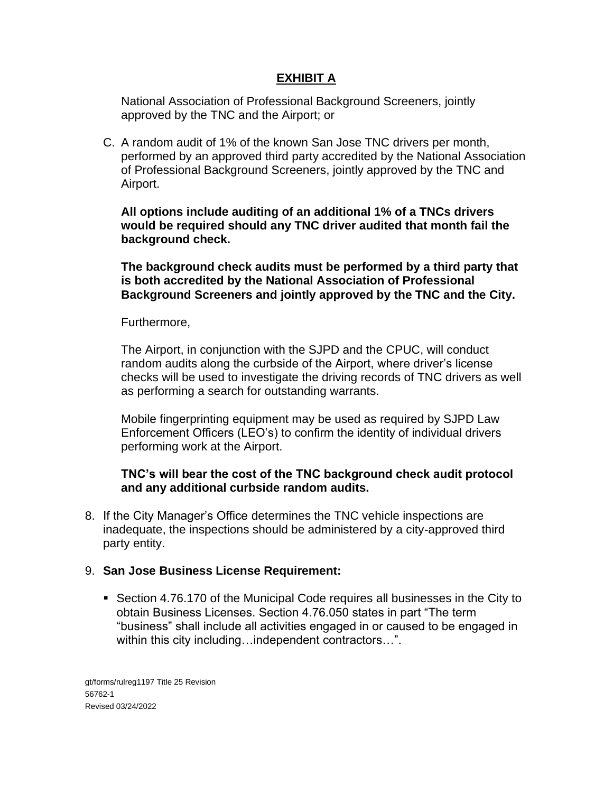National Association of Professional Background Screeners, jointly approved by the TNC and the Airport; or

C. A random audit of 1% of the known San Jose TNC drivers per month, performed by an approved third party accredited by the National Association of Professional Background Screeners, jointly approved by the TNC and Airport.

**All options include auditing of an additional 1% of a TNCs drivers would be required should any TNC driver audited that month fail the background check.** 

**The background check audits must be performed by a third party that is both accredited by the National Association of Professional Background Screeners and jointly approved by the TNC and the City.**

Furthermore,

The Airport, in conjunction with the SJPD and the CPUC, will conduct random audits along the curbside of the Airport, where driver's license checks will be used to investigate the driving records of TNC drivers as well as performing a search for outstanding warrants.

Mobile fingerprinting equipment may be used as required by SJPD Law Enforcement Officers (LEO's) to confirm the identity of individual drivers performing work at the Airport.

#### **TNC's will bear the cost of the TNC background check audit protocol and any additional curbside random audits.**

8. If the City Manager's Office determines the TNC vehicle inspections are inadequate, the inspections should be administered by a city-approved third party entity.

#### 9. **San Jose Business License Requirement:**

■ Section 4.76.170 of the Municipal Code requires all businesses in the City to obtain Business Licenses. Section 4.76.050 states in part "The term "business" shall include all activities engaged in or caused to be engaged in within this city including…independent contractors…".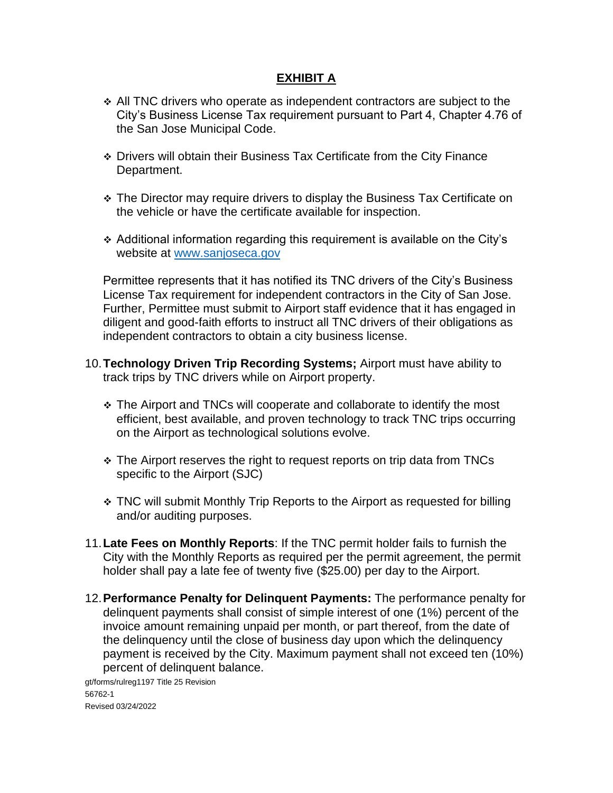- ❖ All TNC drivers who operate as independent contractors are subject to the City's Business License Tax requirement pursuant to Part 4, Chapter 4.76 of the San Jose Municipal Code.
- ❖ Drivers will obtain their Business Tax Certificate from the City Finance Department.
- ❖ The Director may require drivers to display the Business Tax Certificate on the vehicle or have the certificate available for inspection.
- ❖ Additional information regarding this requirement is available on the City's website at [www.sanjoseca.gov](http://www.sanjoseca.gov/)

Permittee represents that it has notified its TNC drivers of the City's Business License Tax requirement for independent contractors in the City of San Jose. Further, Permittee must submit to Airport staff evidence that it has engaged in diligent and good-faith efforts to instruct all TNC drivers of their obligations as independent contractors to obtain a city business license.

- 10.**Technology Driven Trip Recording Systems;** Airport must have ability to track trips by TNC drivers while on Airport property.
	- ❖ The Airport and TNCs will cooperate and collaborate to identify the most efficient, best available, and proven technology to track TNC trips occurring on the Airport as technological solutions evolve.
	- ❖ The Airport reserves the right to request reports on trip data from TNCs specific to the Airport (SJC)
	- ❖ TNC will submit Monthly Trip Reports to the Airport as requested for billing and/or auditing purposes.
- 11.**Late Fees on Monthly Reports**: If the TNC permit holder fails to furnish the City with the Monthly Reports as required per the permit agreement, the permit holder shall pay a late fee of twenty five (\$25.00) per day to the Airport.
- 12.**Performance Penalty for Delinquent Payments:** The performance penalty for delinquent payments shall consist of simple interest of one (1%) percent of the invoice amount remaining unpaid per month, or part thereof, from the date of the delinquency until the close of business day upon which the delinquency payment is received by the City. Maximum payment shall not exceed ten (10%) percent of delinquent balance.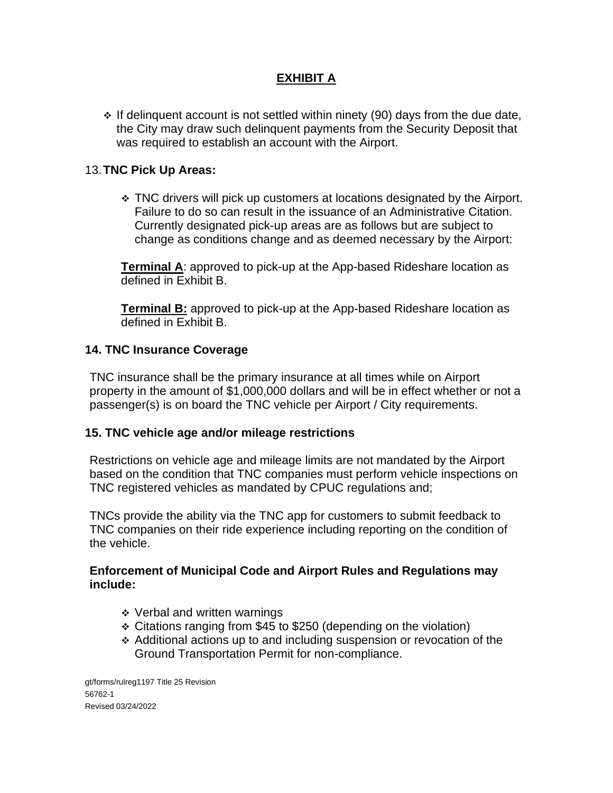❖ If delinquent account is not settled within ninety (90) days from the due date, the City may draw such delinquent payments from the Security Deposit that was required to establish an account with the Airport.

#### 13.**TNC Pick Up Areas:**

❖ TNC drivers will pick up customers at locations designated by the Airport. Failure to do so can result in the issuance of an Administrative Citation. Currently designated pick-up areas are as follows but are subject to change as conditions change and as deemed necessary by the Airport:

**Terminal A**: approved to pick-up at the App-based Rideshare location as defined in Exhibit B.

**Terminal B:** approved to pick-up at the App-based Rideshare location as defined in Exhibit B.

#### **14. TNC Insurance Coverage**

TNC insurance shall be the primary insurance at all times while on Airport property in the amount of \$1,000,000 dollars and will be in effect whether or not a passenger(s) is on board the TNC vehicle per Airport / City requirements.

#### **15. TNC vehicle age and/or mileage restrictions**

Restrictions on vehicle age and mileage limits are not mandated by the Airport based on the condition that TNC companies must perform vehicle inspections on TNC registered vehicles as mandated by CPUC regulations and;

TNCs provide the ability via the TNC app for customers to submit feedback to TNC companies on their ride experience including reporting on the condition of the vehicle.

#### **Enforcement of Municipal Code and Airport Rules and Regulations may include:**

- ❖ Verbal and written warnings
- ❖ Citations ranging from \$45 to \$250 (depending on the violation)
- ❖ Additional actions up to and including suspension or revocation of the Ground Transportation Permit for non-compliance.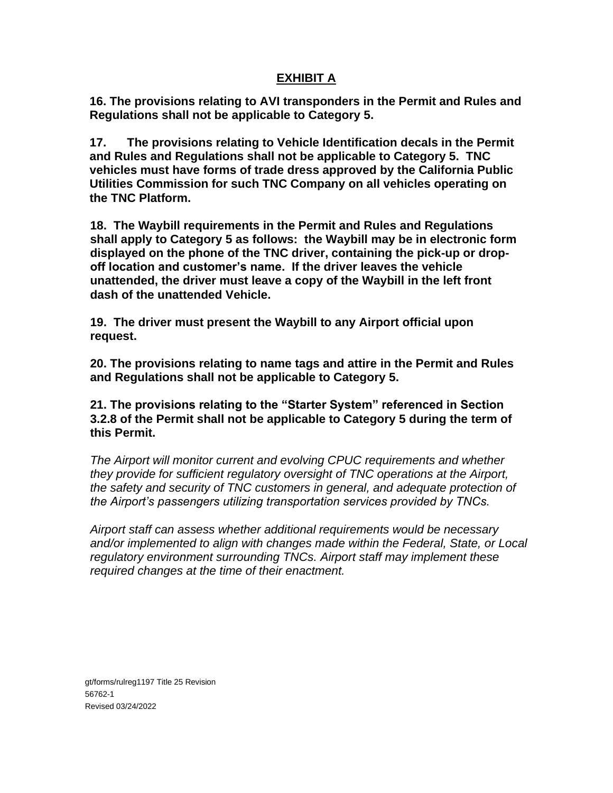**16. The provisions relating to AVI transponders in the Permit and Rules and Regulations shall not be applicable to Category 5.**

**17. The provisions relating to Vehicle Identification decals in the Permit and Rules and Regulations shall not be applicable to Category 5. TNC vehicles must have forms of trade dress approved by the California Public Utilities Commission for such TNC Company on all vehicles operating on the TNC Platform.**

**18. The Waybill requirements in the Permit and Rules and Regulations shall apply to Category 5 as follows: the Waybill may be in electronic form displayed on the phone of the TNC driver, containing the pick-up or dropoff location and customer's name. If the driver leaves the vehicle unattended, the driver must leave a copy of the Waybill in the left front dash of the unattended Vehicle.**

**19. The driver must present the Waybill to any Airport official upon request.** 

**20. The provisions relating to name tags and attire in the Permit and Rules and Regulations shall not be applicable to Category 5.**

**21. The provisions relating to the "Starter System" referenced in Section 3.2.8 of the Permit shall not be applicable to Category 5 during the term of this Permit.**

*The Airport will monitor current and evolving CPUC requirements and whether they provide for sufficient regulatory oversight of TNC operations at the Airport, the safety and security of TNC customers in general, and adequate protection of the Airport's passengers utilizing transportation services provided by TNCs.* 

*Airport staff can assess whether additional requirements would be necessary and/or implemented to align with changes made within the Federal, State, or Local regulatory environment surrounding TNCs. Airport staff may implement these required changes at the time of their enactment.*